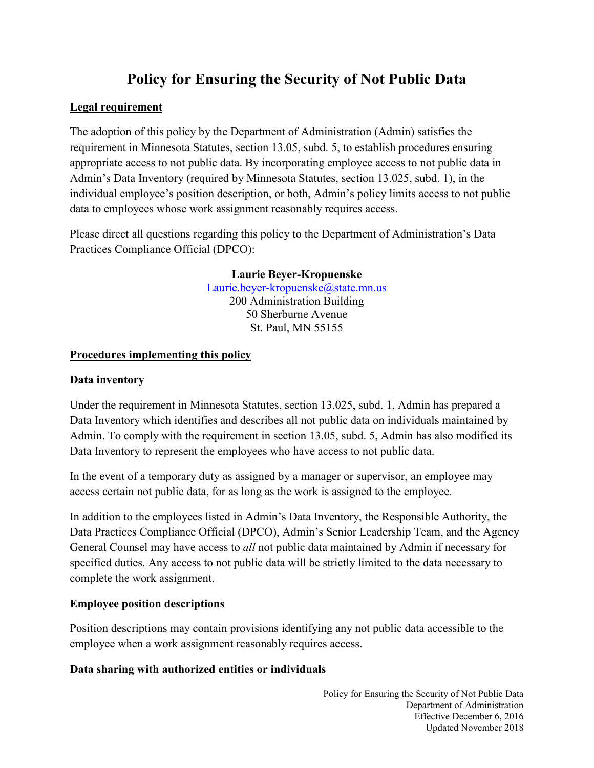# **Policy for Ensuring the Security of Not Public Data**

## **Legal requirement**

The adoption of this policy by the Department of Administration (Admin) satisfies the requirement in Minnesota Statutes, section 13.05, subd. 5, to establish procedures ensuring appropriate access to not public data. By incorporating employee access to not public data in Admin's Data Inventory (required by Minnesota Statutes, section 13.025, subd. 1), in the individual employee's position description, or both, Admin's policy limits access to not public data to employees whose work assignment reasonably requires access.

Please direct all questions regarding this policy to the Department of Administration's Data Practices Compliance Official (DPCO):

> **Laurie Beyer-Kropuenske** [Laurie.beyer-kropuenske@state.mn.us](mailto:Laurie.beyer-kropuenske@state.mn.us) 200 Administration Building 50 Sherburne Avenue St. Paul, MN 55155

## **Procedures implementing this policy**

## **Data inventory**

Under the requirement in Minnesota Statutes, section 13.025, subd. 1, Admin has prepared a Data Inventory which identifies and describes all not public data on individuals maintained by Admin. To comply with the requirement in section 13.05, subd. 5, Admin has also modified its Data Inventory to represent the employees who have access to not public data.

In the event of a temporary duty as assigned by a manager or supervisor, an employee may access certain not public data, for as long as the work is assigned to the employee.

In addition to the employees listed in Admin's Data Inventory, the Responsible Authority, the Data Practices Compliance Official (DPCO), Admin's Senior Leadership Team, and the Agency General Counsel may have access to *all* not public data maintained by Admin if necessary for specified duties. Any access to not public data will be strictly limited to the data necessary to complete the work assignment.

## **Employee position descriptions**

Position descriptions may contain provisions identifying any not public data accessible to the employee when a work assignment reasonably requires access.

## **Data sharing with authorized entities or individuals**